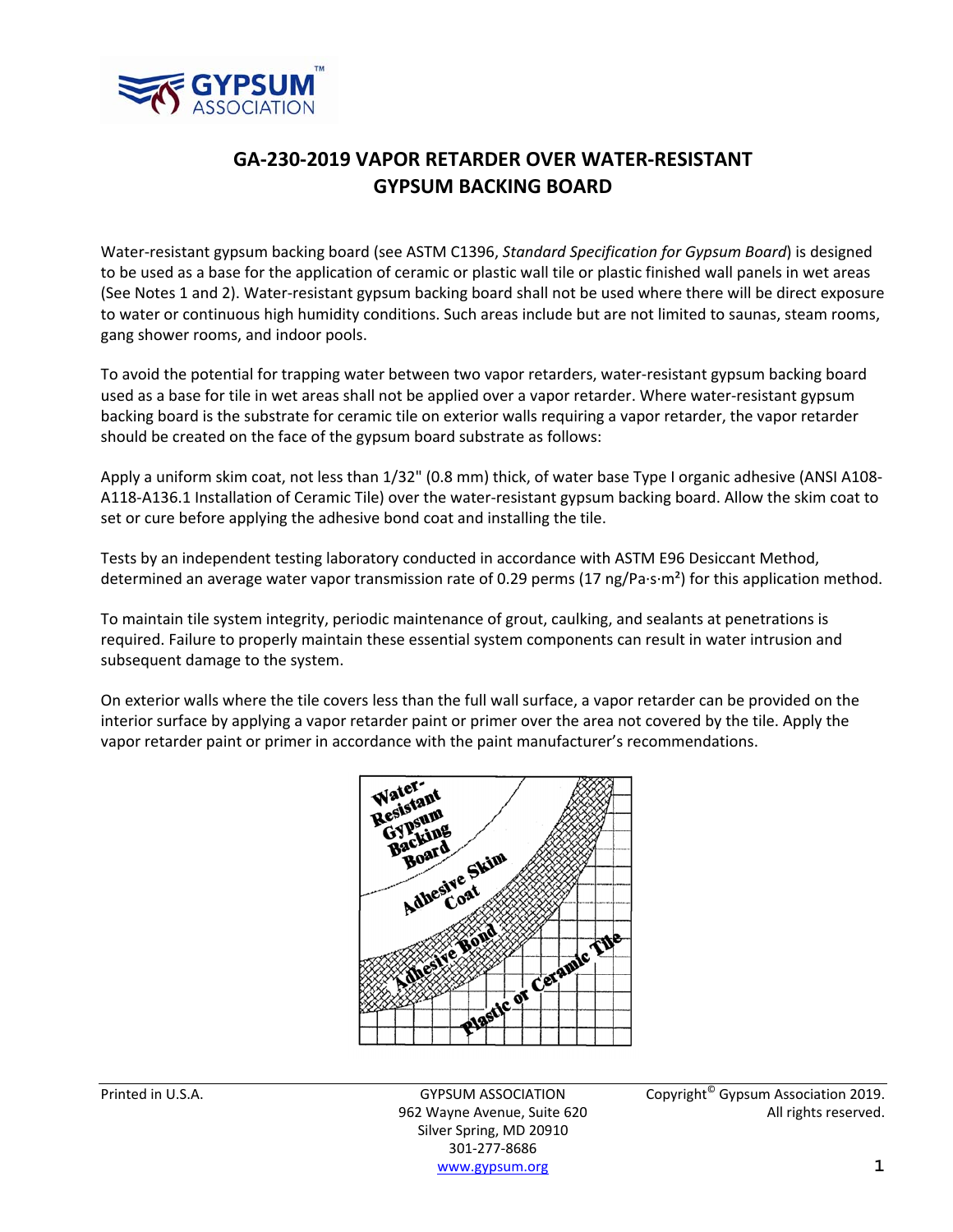

## **GA‐230‐2019 VAPOR RETARDER OVER WATER‐RESISTANT GYPSUM BACKING BOARD**

Water‐resistant gypsum backing board (see ASTM C1396, *Standard Specification for Gypsum Board*) is designed to be used as a base for the application of ceramic or plastic wall tile or plastic finished wall panels in wet areas (See Notes 1 and 2). Water‐resistant gypsum backing board shall not be used where there will be direct exposure to water or continuous high humidity conditions. Such areas include but are not limited to saunas, steam rooms, gang shower rooms, and indoor pools.

To avoid the potential for trapping water between two vapor retarders, water‐resistant gypsum backing board used as a base for tile in wet areas shall not be applied over a vapor retarder. Where water‐resistant gypsum backing board is the substrate for ceramic tile on exterior walls requiring a vapor retarder, the vapor retarder should be created on the face of the gypsum board substrate as follows:

Apply a uniform skim coat, not less than 1/32" (0.8 mm) thick, of water base Type I organic adhesive (ANSI A108‐ A118‐A136.1 Installation of Ceramic Tile) over the water‐resistant gypsum backing board. Allow the skim coat to set or cure before applying the adhesive bond coat and installing the tile.

Tests by an independent testing laboratory conducted in accordance with ASTM E96 Desiccant Method, determined an average water vapor transmission rate of 0.29 perms (17 ng/Pa∙s∙m²) for this application method.

To maintain tile system integrity, periodic maintenance of grout, caulking, and sealants at penetrations is required. Failure to properly maintain these essential system components can result in water intrusion and subsequent damage to the system.

On exterior walls where the tile covers less than the full wall surface, a vapor retarder can be provided on the interior surface by applying a vapor retarder paint or primer over the area not covered by the tile. Apply the vapor retarder paint or primer in accordance with the paint manufacturer's recommendations.



Silver Spring, MD 20910 301‐277‐8686 www.gypsum.org **1**